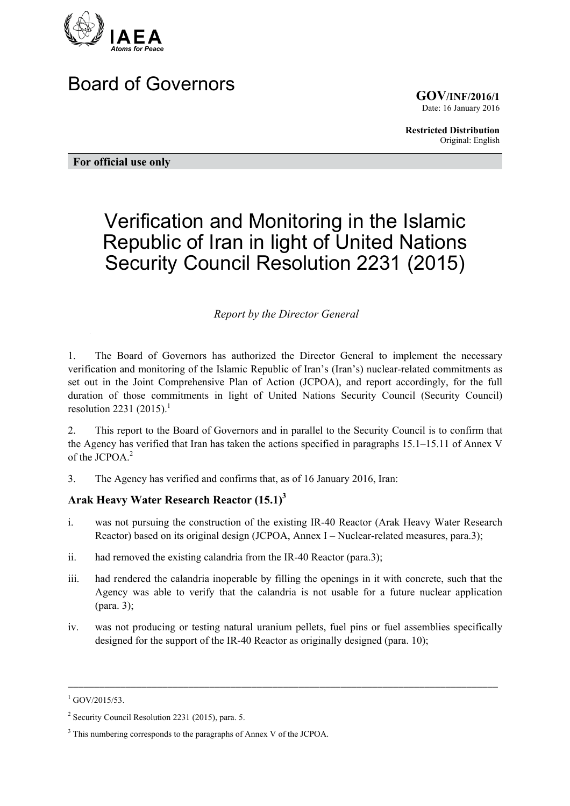

# Board of Governors

**GOV/INF/2016/1** Date: 16 January 2016

**Restricted Distribution** Original: English

**For official use only** 

# Verification and Monitoring in the Islamic Republic of Iran in light of United Nations Security Council Resolution 2231 (2015)

#### *Report by the Director General*

1. The Board of Governors has authorized the Director General to implement the necessary verification and monitoring of the Islamic Republic of Iran's (Iran's) nuclear-related commitments as set out in the Joint Comprehensive Plan of Action (JCPOA), and report accordingly, for the full duration of those commitments in light of United Nations Security Council (Security Council) resolution 2231 (2015).<sup>1</sup>

2. This report to the Board of Governors and in parallel to the Security Council is to confirm that the Agency has verified that Iran has taken the actions specified in paragraphs 15.1–15.11 of Annex V of the  $ICPOA<sup>2</sup>$ 

3. The Agency has verified and confirms that, as of 16 January 2016, Iran:

# **Arak Heavy Water Research Reactor (15.1)3**

- i. was not pursuing the construction of the existing IR-40 Reactor (Arak Heavy Water Research Reactor) based on its original design (JCPOA, Annex I – Nuclear-related measures, para.3);
- ii. had removed the existing calandria from the IR-40 Reactor (para.3);
- iii. had rendered the calandria inoperable by filling the openings in it with concrete, such that the Agency was able to verify that the calandria is not usable for a future nuclear application (para. 3);
- iv. was not producing or testing natural uranium pellets, fuel pins or fuel assemblies specifically designed for the support of the IR-40 Reactor as originally designed (para. 10);

\_\_\_\_\_\_\_\_\_\_\_\_\_\_\_\_\_\_\_\_\_\_\_\_\_\_\_\_\_\_\_\_\_\_\_\_\_\_\_\_\_\_\_\_\_\_\_\_\_\_\_\_\_\_\_\_\_\_\_\_\_\_\_\_\_\_\_\_\_\_\_\_\_\_\_\_\_\_\_\_\_\_

 $^{1}$  GOV/2015/53.

<sup>&</sup>lt;sup>2</sup> Security Council Resolution 2231 (2015), para. 5.

<sup>&</sup>lt;sup>3</sup> This numbering corresponds to the paragraphs of Annex V of the JCPOA.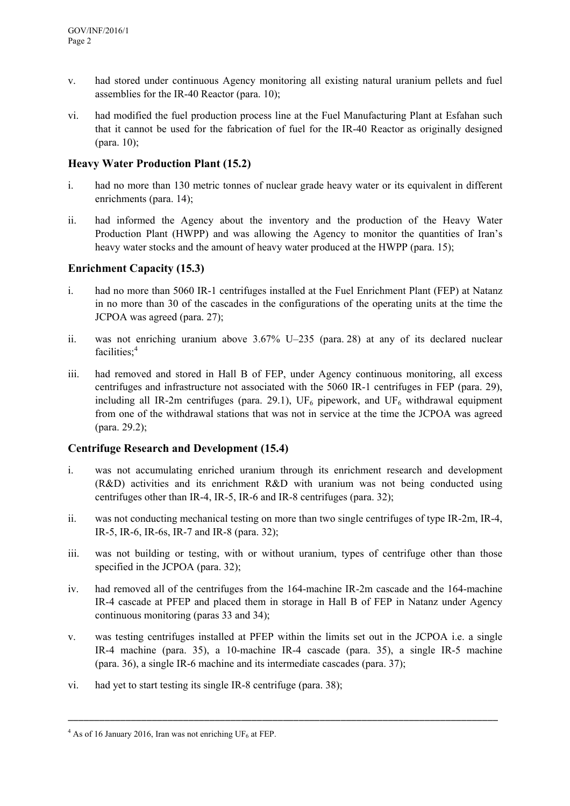- v. had stored under continuous Agency monitoring all existing natural uranium pellets and fuel assemblies for the IR-40 Reactor (para. 10);
- vi. had modified the fuel production process line at the Fuel Manufacturing Plant at Esfahan such that it cannot be used for the fabrication of fuel for the IR-40 Reactor as originally designed (para. 10);

# **Heavy Water Production Plant (15.2)**

- i. had no more than 130 metric tonnes of nuclear grade heavy water or its equivalent in different enrichments (para. 14);
- ii. had informed the Agency about the inventory and the production of the Heavy Water Production Plant (HWPP) and was allowing the Agency to monitor the quantities of Iran's heavy water stocks and the amount of heavy water produced at the HWPP (para. 15);

#### **Enrichment Capacity (15.3)**

- i. had no more than 5060 IR-1 centrifuges installed at the Fuel Enrichment Plant (FEP) at Natanz in no more than 30 of the cascades in the configurations of the operating units at the time the JCPOA was agreed (para. 27);
- ii. was not enriching uranium above 3.67% U–235 (para. 28) at any of its declared nuclear facilities:<sup>4</sup>
- iii. had removed and stored in Hall B of FEP, under Agency continuous monitoring, all excess centrifuges and infrastructure not associated with the 5060 IR-1 centrifuges in FEP (para. 29), including all IR-2m centrifuges (para. 29.1),  $UF_6$  pipework, and  $UF_6$  withdrawal equipment from one of the withdrawal stations that was not in service at the time the JCPOA was agreed (para. 29.2);

# **Centrifuge Research and Development (15.4)**

- i. was not accumulating enriched uranium through its enrichment research and development (R&D) activities and its enrichment R&D with uranium was not being conducted using centrifuges other than IR-4, IR-5, IR-6 and IR-8 centrifuges (para. 32);
- ii. was not conducting mechanical testing on more than two single centrifuges of type IR-2m, IR-4, IR-5, IR-6, IR-6s, IR-7 and IR-8 (para. 32);
- iii. was not building or testing, with or without uranium, types of centrifuge other than those specified in the JCPOA (para. 32);
- iv. had removed all of the centrifuges from the 164-machine IR-2m cascade and the 164-machine IR-4 cascade at PFEP and placed them in storage in Hall B of FEP in Natanz under Agency continuous monitoring (paras 33 and 34);
- v. was testing centrifuges installed at PFEP within the limits set out in the JCPOA i.e. a single IR-4 machine (para. 35), a 10-machine IR-4 cascade (para. 35), a single IR-5 machine (para. 36), a single IR-6 machine and its intermediate cascades (para. 37);

\_\_\_\_\_\_\_\_\_\_\_\_\_\_\_\_\_\_\_\_\_\_\_\_\_\_\_\_\_\_\_\_\_\_\_\_\_\_\_\_\_\_\_\_\_\_\_\_\_\_\_\_\_\_\_\_\_\_\_\_\_\_\_\_\_\_\_\_\_\_\_\_\_\_\_\_\_\_\_\_\_\_

vi. had yet to start testing its single IR-8 centrifuge (para. 38);

<sup>&</sup>lt;sup>4</sup> As of 16 January 2016, Iran was not enriching UF<sub>6</sub> at FEP.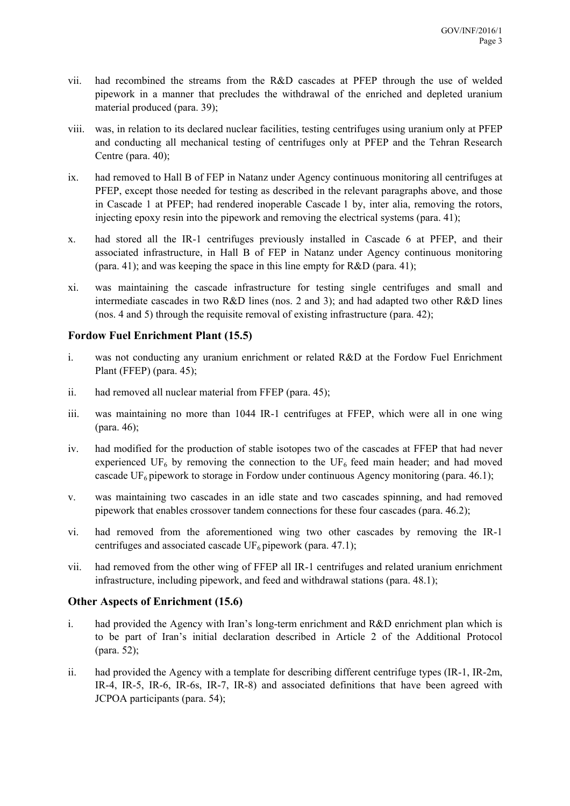- vii. had recombined the streams from the R&D cascades at PFEP through the use of welded pipework in a manner that precludes the withdrawal of the enriched and depleted uranium material produced (para. 39);
- viii. was, in relation to its declared nuclear facilities, testing centrifuges using uranium only at PFEP and conducting all mechanical testing of centrifuges only at PFEP and the Tehran Research Centre (para. 40);
- ix. had removed to Hall B of FEP in Natanz under Agency continuous monitoring all centrifuges at PFEP, except those needed for testing as described in the relevant paragraphs above, and those in Cascade 1 at PFEP; had rendered inoperable Cascade 1 by, inter alia, removing the rotors, injecting epoxy resin into the pipework and removing the electrical systems (para. 41);
- x. had stored all the IR-1 centrifuges previously installed in Cascade 6 at PFEP, and their associated infrastructure, in Hall B of FEP in Natanz under Agency continuous monitoring (para. 41); and was keeping the space in this line empty for R&D (para. 41);
- xi. was maintaining the cascade infrastructure for testing single centrifuges and small and intermediate cascades in two R&D lines (nos. 2 and 3); and had adapted two other R&D lines (nos. 4 and 5) through the requisite removal of existing infrastructure (para. 42);

#### **Fordow Fuel Enrichment Plant (15.5)**

- i. was not conducting any uranium enrichment or related R&D at the Fordow Fuel Enrichment Plant (FFEP) (para. 45);
- ii. had removed all nuclear material from FFEP (para. 45);
- iii. was maintaining no more than 1044 IR-1 centrifuges at FFEP, which were all in one wing (para. 46);
- iv. had modified for the production of stable isotopes two of the cascades at FFEP that had never experienced UF<sub>6</sub> by removing the connection to the UF<sub>6</sub> feed main header; and had moved cascade UF<sub>6</sub> pipework to storage in Fordow under continuous Agency monitoring (para. 46.1);
- v. was maintaining two cascades in an idle state and two cascades spinning, and had removed pipework that enables crossover tandem connections for these four cascades (para. 46.2);
- vi. had removed from the aforementioned wing two other cascades by removing the IR-1 centrifuges and associated cascade  $UF_6$  pipework (para. 47.1);
- vii. had removed from the other wing of FFEP all IR-1 centrifuges and related uranium enrichment infrastructure, including pipework, and feed and withdrawal stations (para. 48.1);

#### **Other Aspects of Enrichment (15.6)**

- i. had provided the Agency with Iran's long-term enrichment and R&D enrichment plan which is to be part of Iran's initial declaration described in Article 2 of the Additional Protocol (para. 52);
- ii. had provided the Agency with a template for describing different centrifuge types (IR-1, IR-2m, IR-4, IR-5, IR-6, IR-6s, IR-7, IR-8) and associated definitions that have been agreed with JCPOA participants (para. 54);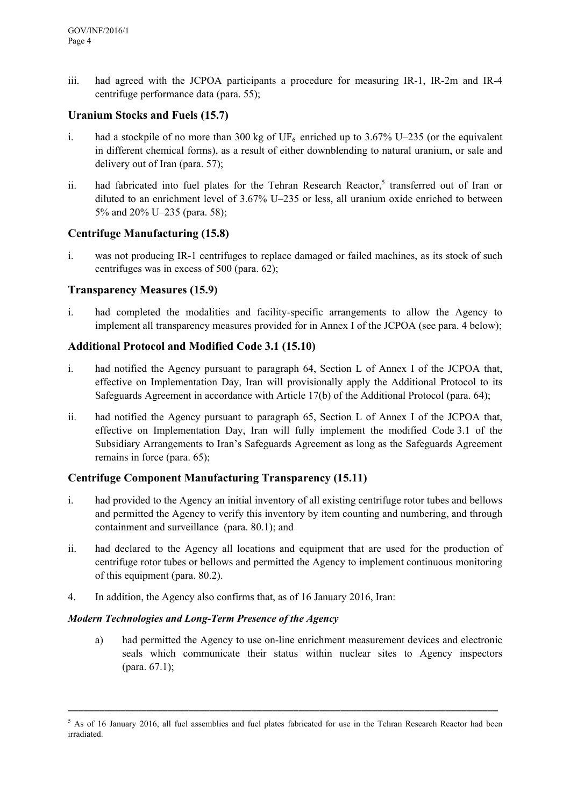iii. had agreed with the JCPOA participants a procedure for measuring IR-1, IR-2m and IR-4 centrifuge performance data (para. 55);

#### **Uranium Stocks and Fuels (15.7)**

- i. had a stockpile of no more than 300 kg of  $UF_6$  enriched up to 3.67% U–235 (or the equivalent in different chemical forms), as a result of either downblending to natural uranium, or sale and delivery out of Iran (para. 57);
- ii. had fabricated into fuel plates for the Tehran Research Reactor,<sup>5</sup> transferred out of Iran or diluted to an enrichment level of 3.67% U–235 or less, all uranium oxide enriched to between 5% and 20% U–235 (para. 58);

#### **Centrifuge Manufacturing (15.8)**

i. was not producing IR-1 centrifuges to replace damaged or failed machines, as its stock of such centrifuges was in excess of 500 (para. 62);

#### **Transparency Measures (15.9)**

i. had completed the modalities and facility-specific arrangements to allow the Agency to implement all transparency measures provided for in Annex I of the JCPOA (see para. 4 below);

#### **Additional Protocol and Modified Code 3.1 (15.10)**

- i. had notified the Agency pursuant to paragraph 64, Section L of Annex I of the JCPOA that, effective on Implementation Day, Iran will provisionally apply the Additional Protocol to its Safeguards Agreement in accordance with Article 17(b) of the Additional Protocol (para. 64);
- ii. had notified the Agency pursuant to paragraph 65, Section L of Annex I of the JCPOA that, effective on Implementation Day, Iran will fully implement the modified Code 3.1 of the Subsidiary Arrangements to Iran's Safeguards Agreement as long as the Safeguards Agreement remains in force (para. 65);

# **Centrifuge Component Manufacturing Transparency (15.11)**

- i. had provided to the Agency an initial inventory of all existing centrifuge rotor tubes and bellows and permitted the Agency to verify this inventory by item counting and numbering, and through containment and surveillance (para. 80.1); and
- ii. had declared to the Agency all locations and equipment that are used for the production of centrifuge rotor tubes or bellows and permitted the Agency to implement continuous monitoring of this equipment (para. 80.2).
- 4. In addition, the Agency also confirms that, as of 16 January 2016, Iran:

#### *Modern Technologies and Long-Term Presence of the Agency*

a) had permitted the Agency to use on-line enrichment measurement devices and electronic seals which communicate their status within nuclear sites to Agency inspectors (para. 67.1);

\_\_\_\_\_\_\_\_\_\_\_\_\_\_\_\_\_\_\_\_\_\_\_\_\_\_\_\_\_\_\_\_\_\_\_\_\_\_\_\_\_\_\_\_\_\_\_\_\_\_\_\_\_\_\_\_\_\_\_\_\_\_\_\_\_\_\_\_\_\_\_\_\_\_\_\_\_\_\_\_\_\_

 $5$  As of 16 January 2016, all fuel assemblies and fuel plates fabricated for use in the Tehran Research Reactor had been irradiated.